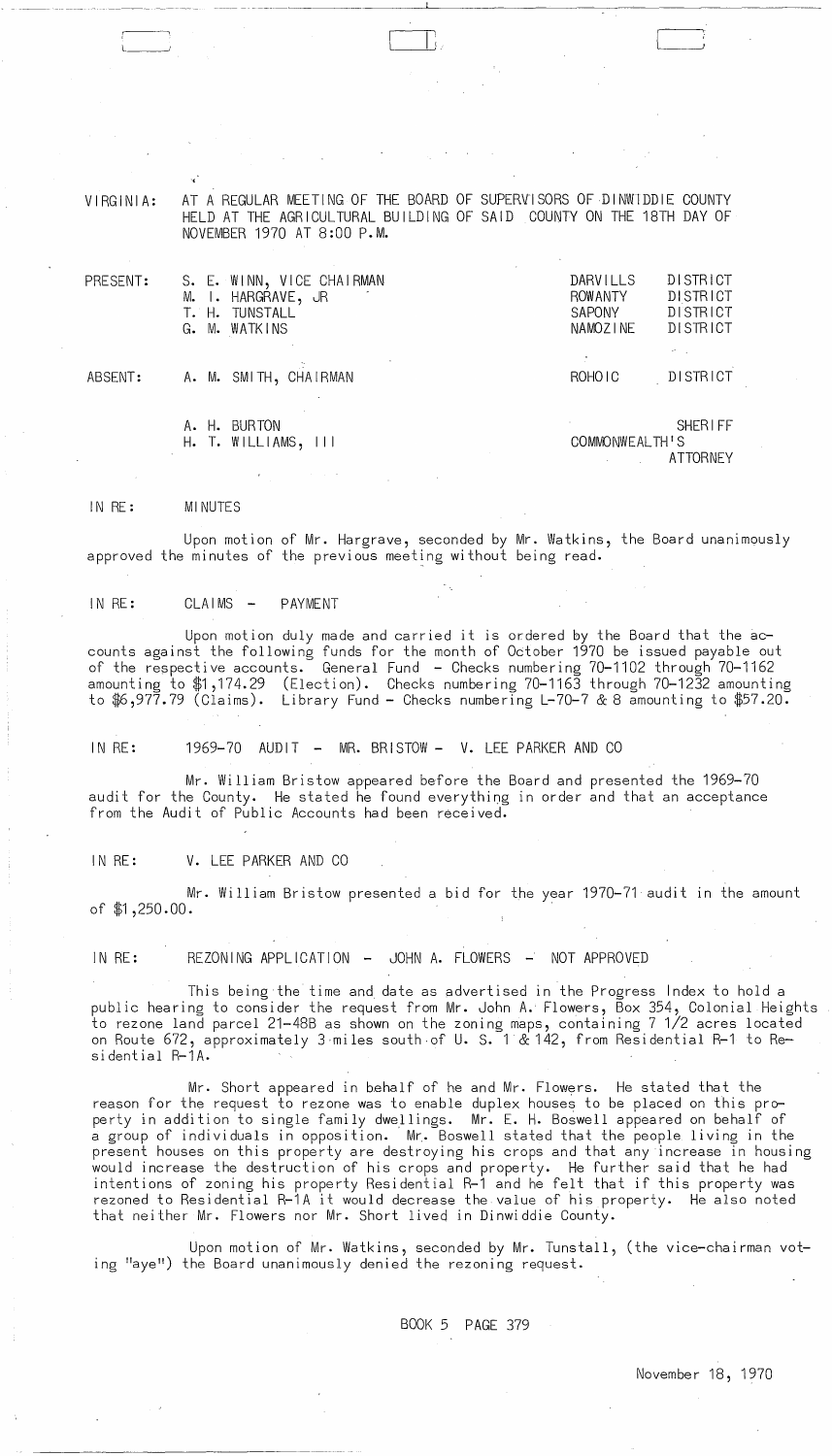VIRGINIA: AT A REGULAR MEETING OF THE BOARD OF SUPERVISORS OF DINWIDDIE COUNTY HELD AT THE AGRICULTURAL BUILDING OF SAID COUNTY ON THE 18TH DAY OF NOVEMBER 1970 AT 8:00 P.M.

| PRESENT: | S. E. WINN, VICE CHAIRMAN<br>M. I. HARGRAVE, JR<br>T. H. TUNSTALL | DARVILLS<br><b>ROW ANTY</b><br><b>SAPONY</b><br>NAMOZINE | <b>DISTRICT</b><br>DISTRICT<br>DISTRICT<br><b>DISTRICT</b> |
|----------|-------------------------------------------------------------------|----------------------------------------------------------|------------------------------------------------------------|
| ABSENT:  | G. M. WATKINS<br>A. M. SMITH, CHAIRMAN                            | ROHO <sub>IC</sub>                                       | DISTRICT                                                   |
|          |                                                                   |                                                          |                                                            |

A. H. BURTON SHERIFF H. T. WILLI AMS, III COMMONWEALTH'S

ATTORNEY

#### IN RE: MINUTES

 $\Box$ 

Upon motion of Mr. Hargrave, seconded by Mr. Watkins, the Board unanimously approved the minutes of the previous meeting without being read.

# IN RE: CLAIMS - PAYMENT

Upon motion duly made and carried it is ordered by the Board that the accounts against the following funds for the month of October 1970 be issued payable out of the respective accounts. General Fund - Checks numbering 70-1102 through 70-1162 amounting to \$1,174.29 (Election). Checks numbering 70-1163 through 70-1232 amounting to \$6,977.79 (Claims). Library Fund - Checks numbering L-70-7 & 8 amounting to \$57.20.

IN RE: 1969-70 AUDIT - MR. BRISTOW - V. LEE PARKER AND CO

Mr. William Bristow appeared before the Board and presented the 1969-70 audit for the County. He stated he found everything in order and that an acceptance from the Audit of Public Accounts had been received.

# IN RE: V. LEE PARKER AND CO

 $\ddot{\mathrm{i}}$ 

Mr. William Bristow presented a bid for the year 1970-71 audit In the amount of \$1,250.00.

IN RE: REZONING APPLICATION - JOHN A. FLOWERS - NOT APPROVED

This being the time and, date as advertised in the Progress Index to hold a public hearing to consider the request from Mr. John A. Flowers, Box 354, Colonial Heights to rezone land parcel 21-48B as shown on the zoning maps, containing 7 1/2 acres located on Route 672, approximately 3·miles south·of U. S. 1 & 142, from Residential R-1 to Residential R-1A.

Mr. Short appeared in behalf of he and Mr. Flowers. He stated that the reason for the request to rezone was to enable duplex houses to be placed on this property in addition to single family dwellings. Mr. E. H. Boswell appeared on behalf of a group of individuals in opposition. Mr. Boswell stated that the people living in the present houses on this property are destroying his crops and that any increase in housing would increase the destruction of his crops and property. He further said that he had intentions of zoning his property Residential R-1 and he felt that if this property was rezoned to Residential R-1A it would decrease the value of his property. He also noted that neither Mr. Flowers nor Mr. Short lived in Dinwiddie County.

Upon motion of Mr. Watkins, seconded by Mr. Tunstall, (the vice-chairman voting "aye") the Board unanimously denied the rezoning request.

BOOK 5 PAGE 379